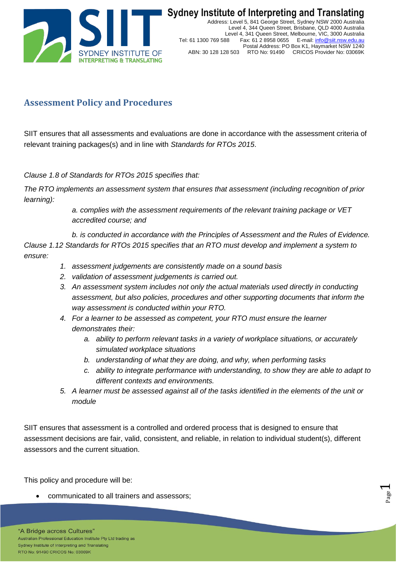

## **Assessment Policy and Procedures**

SIIT ensures that all assessments and evaluations are done in accordance with the assessment criteria of relevant training packages(s) and in line with *Standards for RTOs 2015*.

*Clause 1.8 of Standards for RTOs 2015 specifies that:*

*The RTO implements an assessment system that ensures that assessment (including recognition of prior learning):* 

> *a. complies with the assessment requirements of the relevant training package or VET accredited course; and*

*b. is conducted in accordance with the Principles of Assessment and the Rules of Evidence. Clause 1.12 Standards for RTOs 2015 specifies that an RTO must develop and implement a system to ensure:*

- *1. assessment judgements are consistently made on a sound basis*
- *2. validation of assessment judgements is carried out.*
- *3. An assessment system includes not only the actual materials used directly in conducting assessment, but also policies, procedures and other supporting documents that inform the way assessment is conducted within your RTO.*
- *4. For a learner to be assessed as competent, your RTO must ensure the learner demonstrates their:*
	- *a. ability to perform relevant tasks in a variety of workplace situations, or accurately simulated workplace situations*
	- *b. understanding of what they are doing, and why, when performing tasks*
	- *c. ability to integrate performance with understanding, to show they are able to adapt to different contexts and environments.*

Page  $\overline{\phantom{0}}$ 

*5. A learner must be assessed against all of the tasks identified in the elements of the unit or module*

SIIT ensures that assessment is a controlled and ordered process that is designed to ensure that assessment decisions are fair, valid, consistent, and reliable, in relation to individual student(s), different assessors and the current situation.

This policy and procedure will be:

communicated to all trainers and assessors;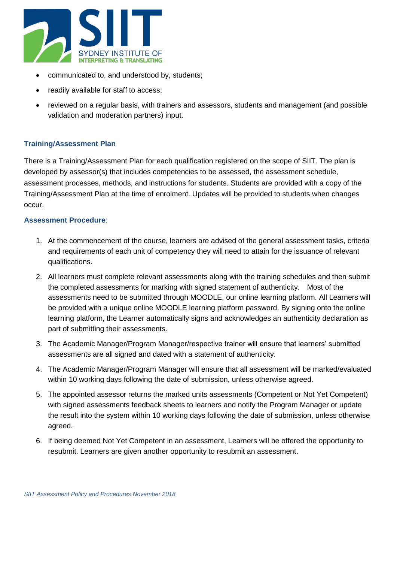

- communicated to, and understood by, students;
- readily available for staff to access;
- reviewed on a regular basis, with trainers and assessors, students and management (and possible validation and moderation partners) input.

## **Training/Assessment Plan**

There is a Training/Assessment Plan for each qualification registered on the scope of SIIT. The plan is developed by assessor(s) that includes competencies to be assessed, the assessment schedule, assessment processes, methods, and instructions for students. Students are provided with a copy of the Training/Assessment Plan at the time of enrolment. Updates will be provided to students when changes occur.

## **Assessment Procedure**:

- 1. At the commencement of the course, learners are advised of the general assessment tasks, criteria and requirements of each unit of competency they will need to attain for the issuance of relevant qualifications.
- 2. All learners must complete relevant assessments along with the training schedules and then submit the completed assessments for marking with signed statement of authenticity. Most of the assessments need to be submitted through MOODLE, our online learning platform. All Learners will be provided with a unique online MOODLE learning platform password. By signing onto the online learning platform, the Learner automatically signs and acknowledges an authenticity declaration as part of submitting their assessments.
- 3. The Academic Manager/Program Manager/respective trainer will ensure that learners' submitted assessments are all signed and dated with a statement of authenticity.
- 4. The Academic Manager/Program Manager will ensure that all assessment will be marked/evaluated within 10 working days following the date of submission, unless otherwise agreed.
- 5. The appointed assessor returns the marked units assessments (Competent or Not Yet Competent) with signed assessments feedback sheets to learners and notify the Program Manager or update the result into the system within 10 working days following the date of submission, unless otherwise agreed.
- 6. If being deemed Not Yet Competent in an assessment, Learners will be offered the opportunity to resubmit. Learners are given another opportunity to resubmit an assessment.